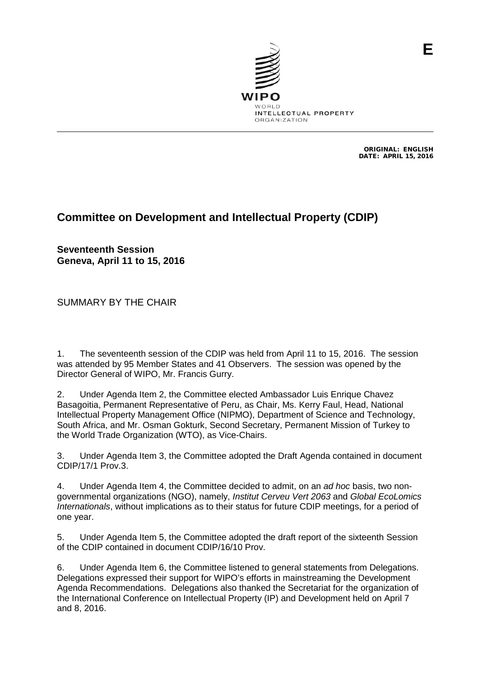

ORIGINAL: ENGLISH DATE: APRIL 15, 2016

## **Committee on Development and Intellectual Property (CDIP)**

**Seventeenth Session Geneva, April 11 to 15, 2016**

SUMMARY BY THE CHAIR

1. The seventeenth session of the CDIP was held from April 11 to 15, 2016. The session was attended by 95 Member States and 41 Observers. The session was opened by the Director General of WIPO, Mr. Francis Gurry.

2. Under Agenda Item 2, the Committee elected Ambassador Luis Enrique Chavez Basagoitia, Permanent Representative of Peru, as Chair, Ms. Kerry Faul, Head, National Intellectual Property Management Office (NIPMO), Department of Science and Technology, South Africa, and Mr. Osman Gokturk, Second Secretary, Permanent Mission of Turkey to the World Trade Organization (WTO), as Vice-Chairs.

3. Under Agenda Item 3, the Committee adopted the Draft Agenda contained in document CDIP/17/1 Prov.3.

4. Under Agenda Item 4, the Committee decided to admit, on an *ad hoc* basis, two nongovernmental organizations (NGO), namely, *Institut Cerveu Vert 2063* and *Global EcoLomics Internationals*, without implications as to their status for future CDIP meetings, for a period of one year.

5. Under Agenda Item 5, the Committee adopted the draft report of the sixteenth Session of the CDIP contained in document CDIP/16/10 Prov.

6. Under Agenda Item 6, the Committee listened to general statements from Delegations. Delegations expressed their support for WIPO's efforts in mainstreaming the Development Agenda Recommendations. Delegations also thanked the Secretariat for the organization of the International Conference on Intellectual Property (IP) and Development held on April 7 and 8, 2016.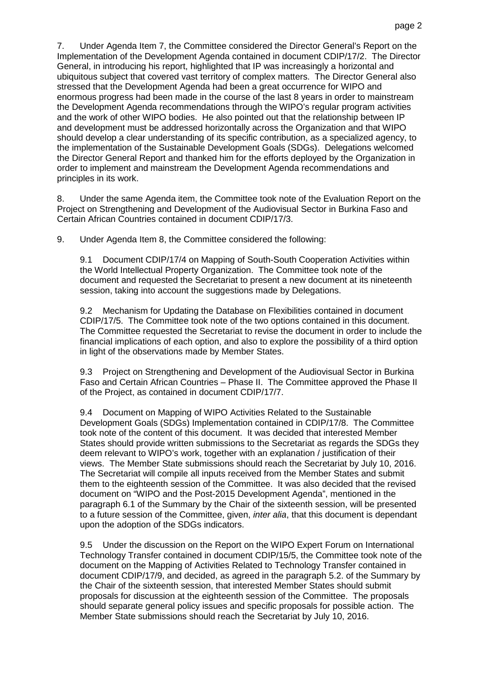7. Under Agenda Item 7, the Committee considered the Director General's Report on the Implementation of the Development Agenda contained in document CDIP/17/2. The Director General, in introducing his report, highlighted that IP was increasingly a horizontal and ubiquitous subject that covered vast territory of complex matters. The Director General also stressed that the Development Agenda had been a great occurrence for WIPO and enormous progress had been made in the course of the last 8 years in order to mainstream the Development Agenda recommendations through the WIPO's regular program activities and the work of other WIPO bodies. He also pointed out that the relationship between IP and development must be addressed horizontally across the Organization and that WIPO should develop a clear understanding of its specific contribution, as a specialized agency, to the implementation of the Sustainable Development Goals (SDGs). Delegations welcomed the Director General Report and thanked him for the efforts deployed by the Organization in order to implement and mainstream the Development Agenda recommendations and principles in its work.

8. Under the same Agenda item, the Committee took note of the Evaluation Report on the Project on Strengthening and Development of the Audiovisual Sector in Burkina Faso and Certain African Countries contained in document CDIP/17/3.

9. Under Agenda Item 8, the Committee considered the following:

9.1 Document CDIP/17/4 on Mapping of South-South Cooperation Activities within the World Intellectual Property Organization. The Committee took note of the document and requested the Secretariat to present a new document at its nineteenth session, taking into account the suggestions made by Delegations.

9.2 Mechanism for Updating the Database on Flexibilities contained in document CDIP/17/5. The Committee took note of the two options contained in this document. The Committee requested the Secretariat to revise the document in order to include the financial implications of each option, and also to explore the possibility of a third option in light of the observations made by Member States.

9.3 Project on Strengthening and Development of the Audiovisual Sector in Burkina Faso and Certain African Countries – Phase II. The Committee approved the Phase II of the Project, as contained in document CDIP/17/7.

9.4 Document on Mapping of WIPO Activities Related to the Sustainable Development Goals (SDGs) Implementation contained in CDIP/17/8. The Committee took note of the content of this document. It was decided that interested Member States should provide written submissions to the Secretariat as regards the SDGs they deem relevant to WIPO's work, together with an explanation / justification of their views. The Member State submissions should reach the Secretariat by July 10, 2016. The Secretariat will compile all inputs received from the Member States and submit them to the eighteenth session of the Committee. It was also decided that the revised document on "WIPO and the Post-2015 Development Agenda", mentioned in the paragraph 6.1 of the Summary by the Chair of the sixteenth session, will be presented to a future session of the Committee, given, *inter alia*, that this document is dependant upon the adoption of the SDGs indicators.

9.5 Under the discussion on the Report on the WIPO Expert Forum on International Technology Transfer contained in document CDIP/15/5, the Committee took note of the document on the Mapping of Activities Related to Technology Transfer contained in document CDIP/17/9, and decided, as agreed in the paragraph 5.2. of the Summary by the Chair of the sixteenth session, that interested Member States should submit proposals for discussion at the eighteenth session of the Committee. The proposals should separate general policy issues and specific proposals for possible action. The Member State submissions should reach the Secretariat by July 10, 2016.